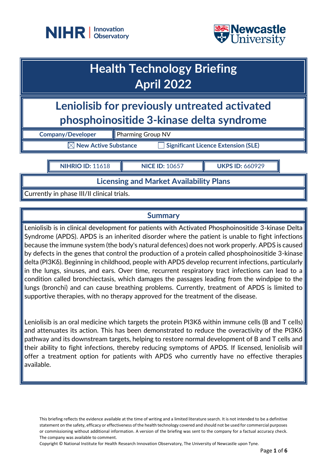



# **Health Technology Briefing April 2022**

**Leniolisib for previously untreated activated phosphoinositide 3-kinase delta syndrome**

**Company/Developer** Pharming Group NV

**New Active Substance Interaction Significant Licence Extension (SLE)** 

**NIHRIO ID:** 11618 **NICE ID:** 10657 **UKPS ID:** 660929

**Licensing and Market Availability Plans**

Currently in phase III/II clinical trials.

# **Summary**

Leniolisib is in clinical development for patients with Activated Phosphoinositide 3-kinase Delta Syndrome (APDS). APDS is an inherited disorder where the patient is unable to fight infections because the immune system (the body's natural defences) does not work properly. APDS is caused by defects in the genes that control the production of a protein called phosphoinositide 3-kinase delta (PI3Kδ). Beginning in childhood, people with APDS develop recurrent infections, particularly in the lungs, sinuses, and ears. Over time, recurrent respiratory tract infections can lead to a condition called bronchiectasis, which damages the passages leading from the windpipe to the lungs (bronchi) and can cause breathing problems. Currently, treatment of APDS is limited to supportive therapies, with no therapy approved for the treatment of the disease.

Leniolisib is an oral medicine which targets the protein PI3Kδ within immune cells (B and T cells) and attenuates its action. This has been demonstrated to reduce the overactivity of the PI3Kδ pathway and its downstream targets, helping to restore normal development of B and T cells and their ability to fight infections, thereby reducing symptoms of APDS. If licensed, leniolisib will offer a treatment option for patients with APDS who currently have no effective therapies available.

This briefing reflects the evidence available at the time of writing and a limited literature search. It is not intended to be a definitive statement on the safety, efficacy or effectiveness of the health technology covered and should not be used for commercial purposes or commissioning without additional information. A version of the briefing was sent to the company for a factual accuracy check. The company was available to comment.

Copyright © National Institute for Health Research Innovation Observatory, The University of Newcastle upon Tyne.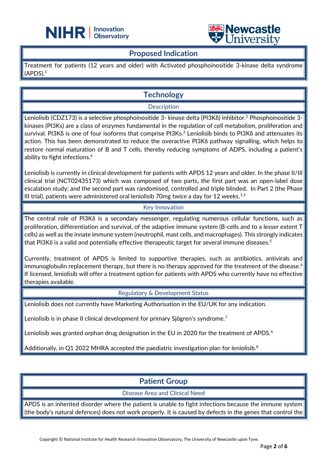



### **Proposed Indication**

֦

Treatment for patients (12 years and older) with Activated phosphoinositide 3-kinase delta syndrome  $(APDS).<sup>1</sup>$ 

# **Technology**

**Description** 

Leniolisib (CDZ173) is a selective phosphoinositide 3- kinase delta (PI3Kδ) inhibitor. <sup>2</sup> Phosphoinositide 3 kinases (PI3Ks) are a class of enzymes fundamental in the regulation of cell metabolism, proliferation and survival. PI3Kδ is one of four isoforms that comprise PI3Ks. $^3$  Leniolisib binds to PI3Kδ and attenuates its action. This has been demonstrated to reduce the overactive PI3K& pathway signalling, which helps to restore normal maturation of B and T cells, thereby reducing symptoms of ADPS, including a patient's ability to fight infections. 4

Leniolisib is currently in clinical development for patients with APDS 12 years and older. In the phase II/III clinical trial (NCT02435173) which was composed of two parts, the first part was an open-label dose escalation study; and the second part was randomised, controlled and triple blinded. In Part 2 (the Phase III trial), patients were administered oral leniolisib 70 $mg$  twice a day for 12 weeks. $^{1,5}$ 

#### Key Innovation

The central role of PI3K $\delta$  is a secondary messenger, regulating numerous cellular functions, such as proliferation, differentiation and survival, of the adaptive immune system (B-cells and to a lesser extent T cells) as well as the innate immune system (neutrophil, mast cells, and macrophages). This strongly indicates | that PI3K $\delta$  is a valid and potentially effective therapeutic target for several immune diseases.<sup>5</sup>

Currently, treatment of APDS is limited to supportive therapies, such as antibiotics, antivirals and immunoglobulin replacement therapy, but there is no therapy approved for the treatment of the disease.<sup>6</sup> If licensed, leniolisib will offer a treatment option for patients with APDS who currently have no effective therapies available.

Regulatory & Development Status

Leniolisib does not currently have Marketing Authorisation in the EU/UK for any indication.

Leniolisib is in phase II clinical development for primary Sjögren's syndrome. $^7$ 

Leniolisib was granted orphan drug designation in the EU in 2020 for the treatment of APDS.<sup>4</sup>

Additionally, in Q1 2022 MHRA accepted the paediatric investigation plan for leniolisib. $^8$ 

## **Patient Group**

Disease Area and Clinical Need

APDS is an inherited disorder where the patient is unable to fight infections because the immune system (the body's natural defences) does not work properly. It is caused by defects in the genes that control the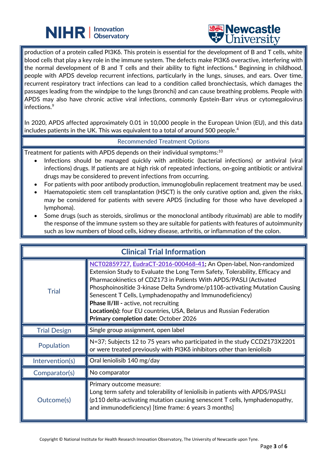



production of a protein called PI3Kδ. This protein is essential for the development of B and T cells, white blood cells that play a key role in the immune system. The defects make PI3Kδ overactive, interfering with the normal development of B and T cells and their ability to fight infections.<sup>4</sup> Beginning in childhood, people with APDS develop recurrent infections, particularly in the lungs, sinuses, and ears. Over time, recurrent respiratory tract infections can lead to a condition called bronchiectasis, which damages the passages leading from the windpipe to the lungs (bronchi) and can cause breathing problems. People with APDS may also have chronic active viral infections, commonly Epstein-Barr virus or cytomegalovirus infections.<sup>9</sup>

In 2020, APDS affected approximately 0.01 in 10,000 people in the European Union (EU), and this data includes patients in the UK. This was equivalent to a total of around 500 people. 4

#### Recommended Treatment Options

Treatment for patients with APDS depends on their individual symptoms: $^{10}$ 

֦

- Infections should be managed quickly with antibiotic (bacterial infections) or antiviral (viral infections) drugs. If patients are at high risk of repeated infections, on-going antibiotic or antiviral drugs may be considered to prevent infections from occurring.
- For patients with poor antibody production, immunoglobulin replacement treatment may be used.
- Haematopoietic stem cell transplantation (HSCT) is the only curative option and, given the risks, may be considered for patients with severe APDS (including for those who have developed a lymphoma).
- Some drugs (such as steroids, sirolimus or the monoclonal antibody rituximab) are able to modify the response of the immune system so they are suitable for patients with features of autoimmunity such as low numbers of blood cells, kidney disease, arthritis, or inflammation of the colon.

| <b>Clinical Trial Information</b> |                                                                                                                                                                                                                                                                                                                                                                                                                                                                                                                                   |  |
|-----------------------------------|-----------------------------------------------------------------------------------------------------------------------------------------------------------------------------------------------------------------------------------------------------------------------------------------------------------------------------------------------------------------------------------------------------------------------------------------------------------------------------------------------------------------------------------|--|
| <b>Trial</b>                      | NCT02859727, EudraCT-2016-000468-41; An Open-label, Non-randomized<br>Extension Study to Evaluate the Long Term Safety, Tolerability, Efficacy and<br>Pharmacokinetics of CDZ173 in Patients With APDS/PASLI (Activated<br>Phosphoinositide 3-kinase Delta Syndrome/p1108-activating Mutation Causing<br>Senescent T Cells, Lymphadenopathy and Immunodeficiency)<br><b>Phase II/III - active, not recruiting</b><br>Location(s): four EU countries, USA, Belarus and Russian Federation<br>Primary completion date: October 2026 |  |
| <b>Trial Design</b>               | Single group assignment, open label                                                                                                                                                                                                                                                                                                                                                                                                                                                                                               |  |
| Population                        | N=37; Subjects 12 to 75 years who participated in the study CCDZ173X2201<br>or were treated previously with PI3Kδ inhibitors other than leniolisib                                                                                                                                                                                                                                                                                                                                                                                |  |
| Intervention(s)                   | Oral leniolisib 140 mg/day                                                                                                                                                                                                                                                                                                                                                                                                                                                                                                        |  |
| Comparator(s)                     | No comparator                                                                                                                                                                                                                                                                                                                                                                                                                                                                                                                     |  |
| Outcome(s)                        | Primary outcome measure:<br>Long term safety and tolerability of leniolisib in patients with APDS/PASLI<br>(p110 delta-activating mutation causing senescent T cells, lymphadenopathy,<br>and immunodeficiency) [time frame: 6 years 3 months]                                                                                                                                                                                                                                                                                    |  |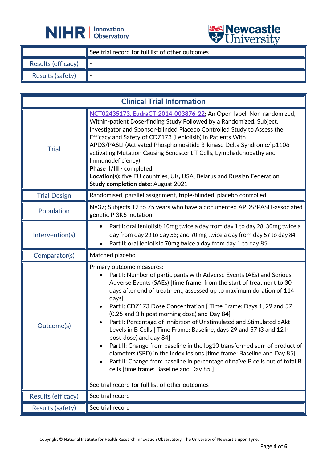



|                    |                                                  | $\triangledown$ CITIVATION |
|--------------------|--------------------------------------------------|----------------------------|
|                    | See trial record for full list of other outcomes |                            |
| Results (efficacy) |                                                  |                            |
| Results (safety)   |                                                  |                            |

| <b>Clinical Trial Information</b> |                                                                                                                                                                                                                                                                                                                                                                                                                                                                                                                                                                                                                                                                                                                                                                                                                                                                                               |  |
|-----------------------------------|-----------------------------------------------------------------------------------------------------------------------------------------------------------------------------------------------------------------------------------------------------------------------------------------------------------------------------------------------------------------------------------------------------------------------------------------------------------------------------------------------------------------------------------------------------------------------------------------------------------------------------------------------------------------------------------------------------------------------------------------------------------------------------------------------------------------------------------------------------------------------------------------------|--|
| <b>Trial</b>                      | NCT02435173, EudraCT-2014-003876-22; An Open-label, Non-randomized,<br>Within-patient Dose-finding Study Followed by a Randomized, Subject,<br>Investigator and Sponsor-blinded Placebo Controlled Study to Assess the<br>Efficacy and Safety of CDZ173 (Leniolisib) in Patients With<br>APDS/PASLI (Activated Phosphoinositide 3-kinase Delta Syndrome/ p110δ-<br>activating Mutation Causing Senescent T Cells, Lymphadenopathy and<br>Immunodeficiency)<br>Phase II/III - completed<br>Location(s): five EU countries, UK, USA, Belarus and Russian Federation<br><b>Study completion date: August 2021</b>                                                                                                                                                                                                                                                                                |  |
| <b>Trial Design</b>               | Randomised, parallel assignment, triple-blinded, placebo controlled                                                                                                                                                                                                                                                                                                                                                                                                                                                                                                                                                                                                                                                                                                                                                                                                                           |  |
| Population                        | N=37; Subjects 12 to 75 years who have a documented APDS/PASLI-associated<br>genetic PI3Kδ mutation                                                                                                                                                                                                                                                                                                                                                                                                                                                                                                                                                                                                                                                                                                                                                                                           |  |
| Intervention(s)                   | Part I: oral leniolisib 10mg twice a day from day 1 to day 28; 30mg twice a<br>$\bullet$<br>day from day 29 to day 56; and 70 mg twice a day from day 57 to day 84<br>Part II: oral leniolisib 70mg twice a day from day 1 to day 85                                                                                                                                                                                                                                                                                                                                                                                                                                                                                                                                                                                                                                                          |  |
| Comparator(s)                     | Matched placebo                                                                                                                                                                                                                                                                                                                                                                                                                                                                                                                                                                                                                                                                                                                                                                                                                                                                               |  |
| Outcome(s)                        | Primary outcome measures:<br>Part I: Number of participants with Adverse Events (AEs) and Serious<br>Adverse Events (SAEs) [time frame: from the start of treatment to 30<br>days after end of treatment, assessed up to maximum duration of 114<br>days]<br>Part I: CDZ173 Dose Concentration [ Time Frame: Days 1, 29 and 57<br>(0.25 and 3 h post morning dose) and Day 84]<br>Part I: Percentage of Inhibition of Unstimulated and Stimulated pAkt<br>Levels in B Cells [ Time Frame: Baseline, days 29 and 57 (3 and 12 h<br>post-dose) and day 84]<br>Part II: Change from baseline in the log10 transformed sum of product of<br>diameters (SPD) in the index lesions [time frame: Baseline and Day 85]<br>Part II: Change from baseline in percentage of naïve B cells out of total B<br>cells [time frame: Baseline and Day 85 ]<br>See trial record for full list of other outcomes |  |
| Results (efficacy)                | See trial record                                                                                                                                                                                                                                                                                                                                                                                                                                                                                                                                                                                                                                                                                                                                                                                                                                                                              |  |
| Results (safety)                  | See trial record                                                                                                                                                                                                                                                                                                                                                                                                                                                                                                                                                                                                                                                                                                                                                                                                                                                                              |  |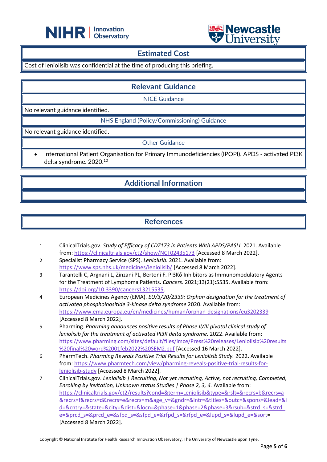



### **Estimated Cost**

Cost of leniolisib was confidential at the time of producing this briefing.

֦

**Relevant Guidance**

NICE Guidance

No relevant guidance identified.

NHS England (Policy/Commissioning) Guidance

 $\vert$ No relevant guidance identified.

Other Guidance

• International Patient Organisation for Primary Immunodeficiencies (IPOPI). APDS - activated PI3K delta syndrome. 2020.<sup>10</sup>

# **Additional Information**

# **References**

- 1 ClinicalTrials.gov. *Study of Efficacy of CDZ173 in Patients With APDS/PASLI.* 2021. Available from:<https://clinicaltrials.gov/ct2/show/NCT02435173> [Accessed 8 March 2022].
- 2 Specialist Pharmacy Service (SPS). *Leniolisib.* 2021. Available from: <https://www.sps.nhs.uk/medicines/leniolisib/> [Accessed 8 March 2022].
- 3 Tarantelli C, Argnani L, Zinzani PL, Bertoni F. PI3Kδ Inhibitors as Immunomodulatory Agents for the Treatment of Lymphoma Patients. *Cancers*. 2021;13(21):5535. Available from: [https://doi.org/10.3390/cancers13215535.](https://doi.org/10.3390/cancers13215535)
- 4 European Medicines Agency (EMA). *EU/3/20/2339: Orphan designation for the treatment of activated phosphoinositide 3-kinase delta syndrome* 2020. Available from: <https://www.ema.europa.eu/en/medicines/human/orphan-designations/eu3202339> [Accessed 8 March 2022].
- 5 Pharming. *Pharming announces positive results of Phase II/III pivotal clinical study of leniolisib for the treatment of activated PI3K delta syndrome.* 2022. Available from: [https://www.pharming.com/sites/default/files/imce/Press%20releases/Leniolisib%20results](https://www.pharming.com/sites/default/files/imce/Press%20releases/Leniolisib%20results%20final%20word%2001feb2022%20SEM2.pdf) [%20final%20word%2001feb2022%20SEM2.pdf](https://www.pharming.com/sites/default/files/imce/Press%20releases/Leniolisib%20results%20final%20word%2001feb2022%20SEM2.pdf) [Accessed 16 March 2022].
- 6 PharmTech. *Pharming Reveals Positive Trial Results for Leniolisib Study.* 2022. Available from: [https://www.pharmtech.com/view/pharming-reveals-positive-trial-results-for](https://www.pharmtech.com/view/pharming-reveals-positive-trial-results-for-leniolisib-study)[leniolisib-study](https://www.pharmtech.com/view/pharming-reveals-positive-trial-results-for-leniolisib-study) [Accessed 8 March 2022].
- 7 ClinicalTrials.gov. *Leniolisib | Recruiting, Not yet recruiting, Active, not recruiting, Completed, Enrolling by invitation, Unknown status Studies | Phase 2, 3, 4.* Available from: [https://clinicaltrials.gov/ct2/results?cond=&term=Leniolisib&type=&rslt=&recrs=b&recrs=a](https://clinicaltrials.gov/ct2/results?cond=&term=Leniolisib&type=&rslt=&recrs=b&recrs=a&recrs=f&recrs=d&recrs=e&recrs=m&age_v=&gndr=&intr=&titles=&outc=&spons=&lead=&id=&cntry=&state=&city=&dist=&locn=&phase=1&phase=2&phase=3&rsub=&strd_s=&strd_e=&prcd_s=&prcd_e=&sfpd_s=&sfpd_e=&rfpd_s=&rfpd_e=&lupd_s=&lupd_e=&sort) [&recrs=f&recrs=d&recrs=e&recrs=m&age\\_v=&gndr=&intr=&titles=&outc=&spons=&lead=&i](https://clinicaltrials.gov/ct2/results?cond=&term=Leniolisib&type=&rslt=&recrs=b&recrs=a&recrs=f&recrs=d&recrs=e&recrs=m&age_v=&gndr=&intr=&titles=&outc=&spons=&lead=&id=&cntry=&state=&city=&dist=&locn=&phase=1&phase=2&phase=3&rsub=&strd_s=&strd_e=&prcd_s=&prcd_e=&sfpd_s=&sfpd_e=&rfpd_s=&rfpd_e=&lupd_s=&lupd_e=&sort) [d=&cntry=&state=&city=&dist=&locn=&phase=1&phase=2&phase=3&rsub=&strd\\_s=&strd\\_](https://clinicaltrials.gov/ct2/results?cond=&term=Leniolisib&type=&rslt=&recrs=b&recrs=a&recrs=f&recrs=d&recrs=e&recrs=m&age_v=&gndr=&intr=&titles=&outc=&spons=&lead=&id=&cntry=&state=&city=&dist=&locn=&phase=1&phase=2&phase=3&rsub=&strd_s=&strd_e=&prcd_s=&prcd_e=&sfpd_s=&sfpd_e=&rfpd_s=&rfpd_e=&lupd_s=&lupd_e=&sort) [e=&prcd\\_s=&prcd\\_e=&sfpd\\_s=&sfpd\\_e=&rfpd\\_s=&rfpd\\_e=&lupd\\_s=&lupd\\_e=&sort=](https://clinicaltrials.gov/ct2/results?cond=&term=Leniolisib&type=&rslt=&recrs=b&recrs=a&recrs=f&recrs=d&recrs=e&recrs=m&age_v=&gndr=&intr=&titles=&outc=&spons=&lead=&id=&cntry=&state=&city=&dist=&locn=&phase=1&phase=2&phase=3&rsub=&strd_s=&strd_e=&prcd_s=&prcd_e=&sfpd_s=&sfpd_e=&rfpd_s=&rfpd_e=&lupd_s=&lupd_e=&sort) [Accessed 8 March 2022].

Copyright © National Institute for Health Research Innovation Observatory, The University of Newcastle upon Tyne.